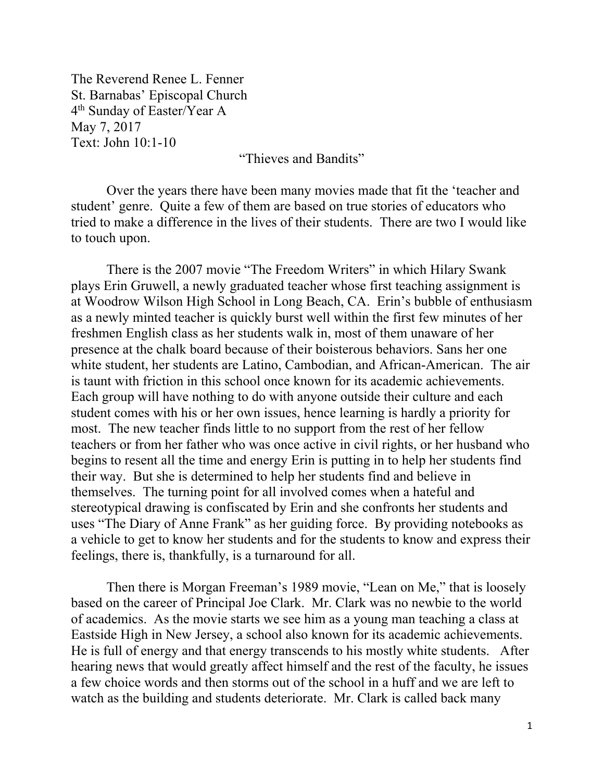The Reverend Renee L. Fenner St. Barnabas' Episcopal Church 4th Sunday of Easter/Year A May 7, 2017 Text: John 10:1-10

"Thieves and Bandits"

Over the years there have been many movies made that fit the 'teacher and student' genre. Quite a few of them are based on true stories of educators who tried to make a difference in the lives of their students. There are two I would like to touch upon.

There is the 2007 movie "The Freedom Writers" in which Hilary Swank plays Erin Gruwell, a newly graduated teacher whose first teaching assignment is at Woodrow Wilson High School in Long Beach, CA. Erin's bubble of enthusiasm as a newly minted teacher is quickly burst well within the first few minutes of her freshmen English class as her students walk in, most of them unaware of her presence at the chalk board because of their boisterous behaviors. Sans her one white student, her students are Latino, Cambodian, and African-American. The air is taunt with friction in this school once known for its academic achievements. Each group will have nothing to do with anyone outside their culture and each student comes with his or her own issues, hence learning is hardly a priority for most. The new teacher finds little to no support from the rest of her fellow teachers or from her father who was once active in civil rights, or her husband who begins to resent all the time and energy Erin is putting in to help her students find their way. But she is determined to help her students find and believe in themselves. The turning point for all involved comes when a hateful and stereotypical drawing is confiscated by Erin and she confronts her students and uses "The Diary of Anne Frank" as her guiding force. By providing notebooks as a vehicle to get to know her students and for the students to know and express their feelings, there is, thankfully, is a turnaround for all.

Then there is Morgan Freeman's 1989 movie, "Lean on Me," that is loosely based on the career of Principal Joe Clark. Mr. Clark was no newbie to the world of academics. As the movie starts we see him as a young man teaching a class at Eastside High in New Jersey, a school also known for its academic achievements. He is full of energy and that energy transcends to his mostly white students. After hearing news that would greatly affect himself and the rest of the faculty, he issues a few choice words and then storms out of the school in a huff and we are left to watch as the building and students deteriorate. Mr. Clark is called back many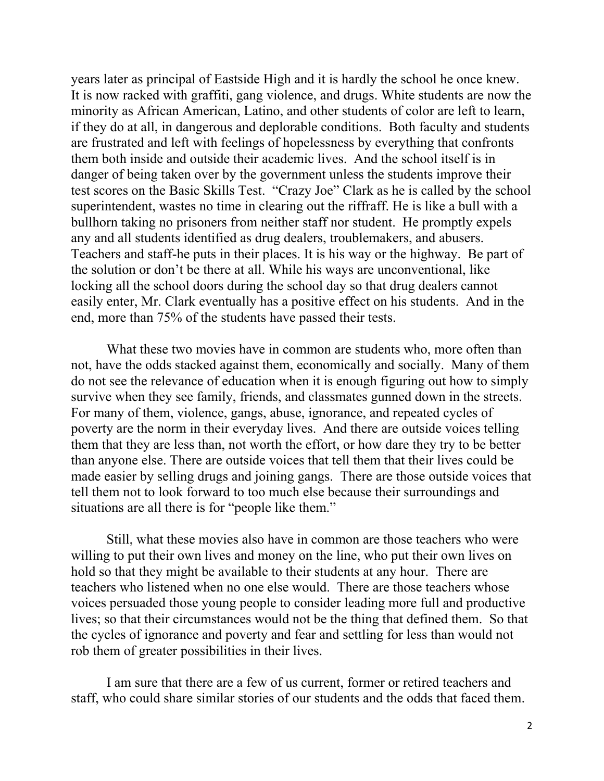years later as principal of Eastside High and it is hardly the school he once knew. It is now racked with graffiti, gang violence, and drugs. White students are now the minority as African American, Latino, and other students of color are left to learn, if they do at all, in dangerous and deplorable conditions. Both faculty and students are frustrated and left with feelings of hopelessness by everything that confronts them both inside and outside their academic lives. And the school itself is in danger of being taken over by the government unless the students improve their test scores on the Basic Skills Test. "Crazy Joe" Clark as he is called by the school superintendent, wastes no time in clearing out the riffraff. He is like a bull with a bullhorn taking no prisoners from neither staff nor student. He promptly expels any and all students identified as drug dealers, troublemakers, and abusers. Teachers and staff-he puts in their places. It is his way or the highway. Be part of the solution or don't be there at all. While his ways are unconventional, like locking all the school doors during the school day so that drug dealers cannot easily enter, Mr. Clark eventually has a positive effect on his students. And in the end, more than 75% of the students have passed their tests.

What these two movies have in common are students who, more often than not, have the odds stacked against them, economically and socially. Many of them do not see the relevance of education when it is enough figuring out how to simply survive when they see family, friends, and classmates gunned down in the streets. For many of them, violence, gangs, abuse, ignorance, and repeated cycles of poverty are the norm in their everyday lives. And there are outside voices telling them that they are less than, not worth the effort, or how dare they try to be better than anyone else. There are outside voices that tell them that their lives could be made easier by selling drugs and joining gangs. There are those outside voices that tell them not to look forward to too much else because their surroundings and situations are all there is for "people like them."

Still, what these movies also have in common are those teachers who were willing to put their own lives and money on the line, who put their own lives on hold so that they might be available to their students at any hour. There are teachers who listened when no one else would. There are those teachers whose voices persuaded those young people to consider leading more full and productive lives; so that their circumstances would not be the thing that defined them. So that the cycles of ignorance and poverty and fear and settling for less than would not rob them of greater possibilities in their lives.

I am sure that there are a few of us current, former or retired teachers and staff, who could share similar stories of our students and the odds that faced them.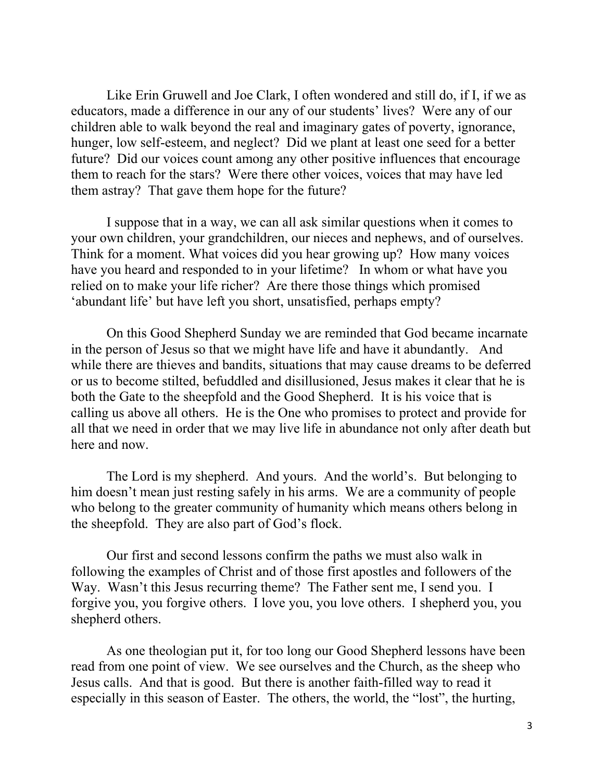Like Erin Gruwell and Joe Clark, I often wondered and still do, if I, if we as educators, made a difference in our any of our students' lives? Were any of our children able to walk beyond the real and imaginary gates of poverty, ignorance, hunger, low self-esteem, and neglect? Did we plant at least one seed for a better future? Did our voices count among any other positive influences that encourage them to reach for the stars? Were there other voices, voices that may have led them astray? That gave them hope for the future?

I suppose that in a way, we can all ask similar questions when it comes to your own children, your grandchildren, our nieces and nephews, and of ourselves. Think for a moment. What voices did you hear growing up? How many voices have you heard and responded to in your lifetime? In whom or what have you relied on to make your life richer? Are there those things which promised 'abundant life' but have left you short, unsatisfied, perhaps empty?

On this Good Shepherd Sunday we are reminded that God became incarnate in the person of Jesus so that we might have life and have it abundantly. And while there are thieves and bandits, situations that may cause dreams to be deferred or us to become stilted, befuddled and disillusioned, Jesus makes it clear that he is both the Gate to the sheepfold and the Good Shepherd. It is his voice that is calling us above all others. He is the One who promises to protect and provide for all that we need in order that we may live life in abundance not only after death but here and now.

The Lord is my shepherd. And yours. And the world's. But belonging to him doesn't mean just resting safely in his arms. We are a community of people who belong to the greater community of humanity which means others belong in the sheepfold. They are also part of God's flock.

Our first and second lessons confirm the paths we must also walk in following the examples of Christ and of those first apostles and followers of the Way. Wasn't this Jesus recurring theme? The Father sent me, I send you. I forgive you, you forgive others. I love you, you love others. I shepherd you, you shepherd others.

As one theologian put it, for too long our Good Shepherd lessons have been read from one point of view. We see ourselves and the Church, as the sheep who Jesus calls. And that is good. But there is another faith-filled way to read it especially in this season of Easter. The others, the world, the "lost", the hurting,